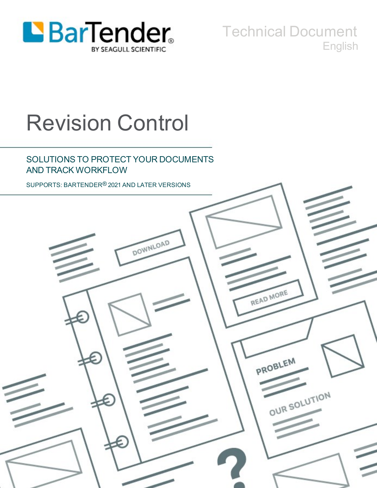

Technical Document English

# Revision Control

## SOLUTIONS TO PROTECT YOUR DOCUMENTS AND TRACK WORKFLOW

SUPPORTS: BARTENDER® 2021 AND LATER VERSIONS

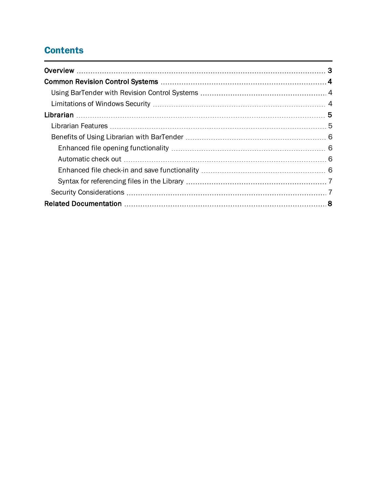# **Contents**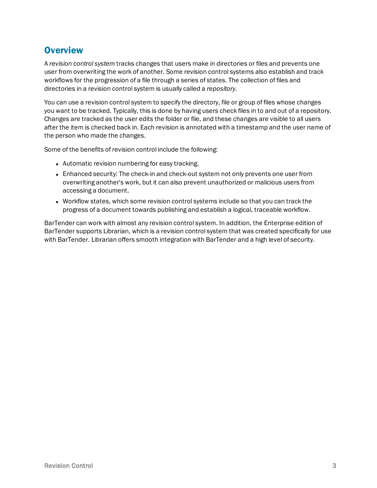# <span id="page-2-0"></span>**Overview**

A *revision control system* tracks changes that users make in directories or files and prevents one user from overwriting the work of another. Some revision control systems also establish and track workflows for the progression of a file through a series of states. The collection of files and directories in a revision control system is usually called a *repository*.

You can use a revision control system to specify the directory, file or group of files whose changes you want to be tracked. Typically, this is done by having users check files in to and out of a repository. Changes are tracked as the user edits the folder or file, and these changes are visible to all users after the item is checked back in. Each revision is annotated with a timestamp and the user name of the person who made the changes.

Some of the benefits of revision control include the following:

- Automatic revision numbering for easy tracking.
- Enhanced security: The check-in and check-out system not only prevents one user from overwriting another's work, but it can also prevent unauthorized or malicious users from accessing a document.
- Workflow states, which some revision control systems include so that you can track the progress of a document towards publishing and establish a logical, traceable workflow.

BarTender can work with almost any revision control system. In addition, the Enterprise edition of BarTender supports Librarian, which is a revision control system that was created specifically for use with BarTender. Librarian offers smooth integration with BarTender and a high level of security.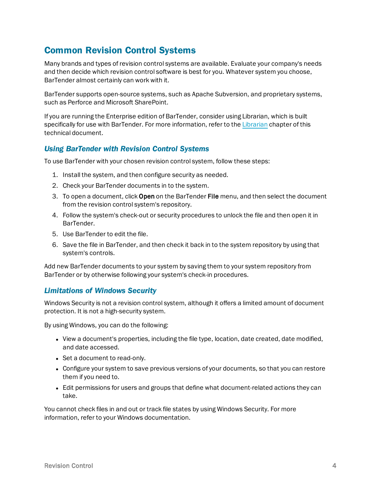# <span id="page-3-0"></span>Common Revision Control Systems

Many brands and types of revision control systems are available. Evaluate your company's needs and then decide which revision control software is best for you. Whatever system you choose, BarTender almost certainly can work with it.

BarTender supports open-source systems, such as Apache Subversion, and proprietary systems, such as Perforce and Microsoft SharePoint.

If you are running the Enterprise edition of BarTender, consider using Librarian, which is built specifically for use with BarTender. For more information, refer to the [Librarian](#page-4-0) chapter of this technical document.

## <span id="page-3-1"></span>*Using BarTender with Revision Control Systems*

To use BarTender with your chosen revision control system, follow these steps:

- 1. Install the system, and then configure security as needed.
- 2. Check your BarTender documents in to the system.
- 3. To open a document, click Open on the BarTender File menu, and then select the document from the revision control system's repository.
- 4. Follow the system's check-out or security procedures to unlock the file and then open it in BarTender.
- 5. Use BarTender to edit the file.
- 6. Save the file in BarTender, and then check it back in to the system repository by using that system's controls.

Add new BarTender documents to your system by saving them to your system repository from BarTender or by otherwise following your system's check-in procedures.

## <span id="page-3-2"></span>*Limitations of Windows Security*

Windows Security is not a revision control system, although it offers a limited amount of document protection. It is not a high-security system.

By using Windows, you can do the following:

- View a document's properties, including the file type, location, date created, date modified, and date accessed.
- Set a document to read-only.
- Configure your system to save previous versions of your documents, so that you can restore them if you need to.
- Edit permissions for users and groups that define what document-related actions they can take.

You cannot check files in and out or track file states by using Windows Security. For more information, refer to your Windows documentation.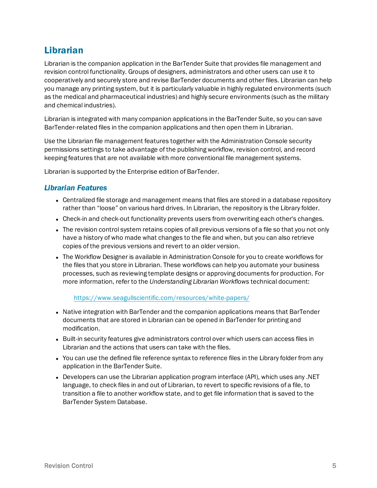# <span id="page-4-0"></span>Librarian

Librarian is the companion application in the BarTender Suite that provides file management and revision control functionality. Groups of designers, administrators and other users can use it to cooperatively and securely store and revise BarTender documents and other files. Librarian can help you manage any printing system, but it is particularly valuable in highly regulated environments (such as the medical and pharmaceutical industries) and highly secure environments (such as the military and chemical industries).

Librarian is integrated with many companion applications in the BarTender Suite, so you can save BarTender-related files in the companion applications and then open them in Librarian.

Use the Librarian file management features together with the Administration Console security permissions settings to take advantage of the publishing workflow, revision control, and record keeping features that are not available with more conventional file management systems.

<span id="page-4-1"></span>Librarian is supported by the Enterprise edition of BarTender.

## *Librarian Features*

- Centralized file storage and management means that files are stored in a database repository rather than "loose" on various hard drives. In Librarian, the repository is the Library folder.
- Check-in and check-out functionality prevents users from overwriting each other's changes.
- The revision control system retains copies of all previous versions of a file so that you not only have a history of who made what changes to the file and when, but you can also retrieve copies of the previous versions and revert to an older version.
- The Workflow Designer is available in Administration Console for you to create workflows for the files that you store in Librarian. These workflows can help you automate your business processes, such as reviewing template designs or approving documents for production. For more information, refer to the *Understanding Librarian Workflows* technical document:

<https://www.seagullscientific.com/resources/white-papers/>

- Native integration with BarTender and the companion applications means that BarTender documents that are stored in Librarian can be opened in BarTender for printing and modification.
- Built-in security features give administrators control over which users can access files in Librarian and the actions that users can take with the files.
- You can use the defined file reference syntax to reference files in the Library folder from any application in the BarTender Suite.
- <sup>l</sup> Developers can use the Librarian application program interface (API), which uses any .NET language, to check files in and out of Librarian, to revert to specific revisions of a file, to transition a file to another workflow state, and to get file information that is saved to the BarTender System Database.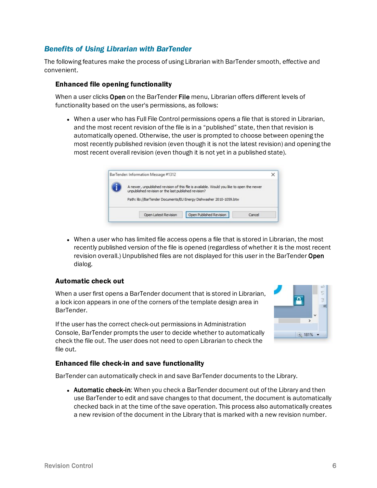## <span id="page-5-0"></span>*Benefits of Using Librarian with BarTender*

The following features make the process of using Librarian with BarTender smooth, effective and convenient.

#### <span id="page-5-1"></span>Enhanced file opening functionality

When a user clicks Open on the BarTender File menu, Librarian offers different levels of functionality based on the user's permissions, as follows:

• When a user who has Full File Control permissions opens a file that is stored in Librarian, and the most recent revision of the file is in a "published" state, then that revision is automatically opened. Otherwise, the user is prompted to choose between opening the most recently published revision (even though it is not the latest revision) and opening the most recent overall revision (even though it is not yet in a published state).

| A newer, unpublished revision of this file is available. Would you like to open the newer<br>unpublished revision or the last published revision?<br>Path: lib://BarTender Documents/EU Energy Dishwasher 2010-1059.btw |  |  |
|-------------------------------------------------------------------------------------------------------------------------------------------------------------------------------------------------------------------------|--|--|
|                                                                                                                                                                                                                         |  |  |
|                                                                                                                                                                                                                         |  |  |
|                                                                                                                                                                                                                         |  |  |
|                                                                                                                                                                                                                         |  |  |
|                                                                                                                                                                                                                         |  |  |

• When a user who has limited file access opens a file that is stored in Librarian, the most recently published version of the file is opened (regardless of whether it is the most recent revision overall.) Unpublished files are not displayed for this user in the BarTender Open dialog.

#### <span id="page-5-2"></span>Automatic check out

When a user first opens a BarTender document that is stored in Librarian, a lock icon appears in one of the corners of the template design area in BarTender.

If the user has the correct check-out permissions in Administration Console, BarTender prompts the user to decide whether to automatically check the file out. The user does not need to open Librarian to check the file out.



#### <span id="page-5-3"></span>Enhanced file check-in and save functionality

BarTender can automatically check in and save BarTender documents to the Library.

• Automatic check-in: When you check a BarTender document out of the Library and then use BarTender to edit and save changes to that document, the document is automatically checked back in at the time of the save operation. This process also automatically creates a new revision of the document in the Library that is marked with a new revision number.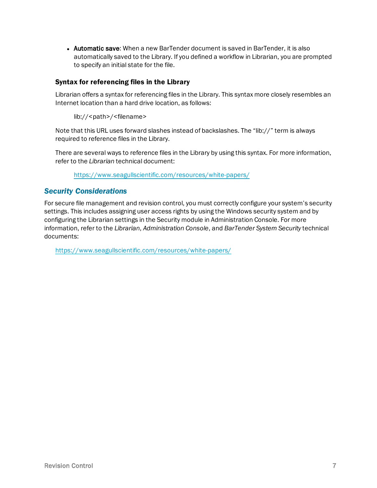• Automatic save: When a new BarTender document is saved in BarTender, it is also automatically saved to the Library. If you defined a workflow in Librarian, you are prompted to specify an initial state for the file.

#### <span id="page-6-0"></span>Syntax for referencing files in the Library

Librarian offers a syntax for referencing files in the Library. This syntax more closely resembles an Internet location than a hard drive location, as follows:

lib://<path>/<filename>

Note that this URL uses forward slashes instead of backslashes. The "lib://" term is always required to reference files in the Library.

There are several ways to reference files in the Library by using this syntax. For more information, refer to the *Librarian* technical document:

<https://www.seagullscientific.com/resources/white-papers/>

## <span id="page-6-1"></span>*Security Considerations*

For secure file management and revision control, you must correctly configure your system's security settings. This includes assigning user access rights by using the Windows security system and by configuring the Librarian settings in the Security module in Administration Console. For more information, refer to the *Librarian*, *Administration Console*, and *BarTender System Security* technical documents:

<https://www.seagullscientific.com/resources/white-papers/>